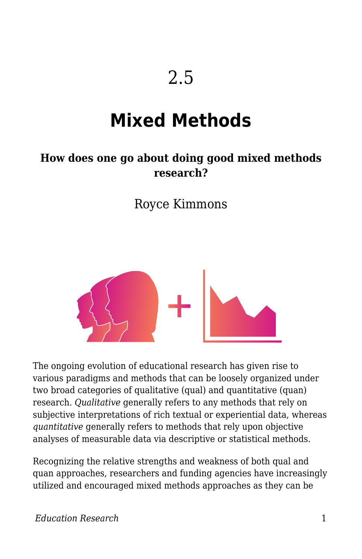# **Mixed Methods**

#### **How does one go about doing good mixed methods research?**

Royce Kimmons



The ongoing evolution of educational research has given rise to various paradigms and methods that can be loosely organized under two broad categories of qualitative (qual) and quantitative (quan) research. *Qualitative* generally refers to any methods that rely on subjective interpretations of rich textual or experiential data, whereas *quantitative* generally refers to methods that rely upon objective analyses of measurable data via descriptive or statistical methods.

Recognizing the relative strengths and weakness of both qual and quan approaches, researchers and funding agencies have increasingly utilized and encouraged mixed methods approaches as they can be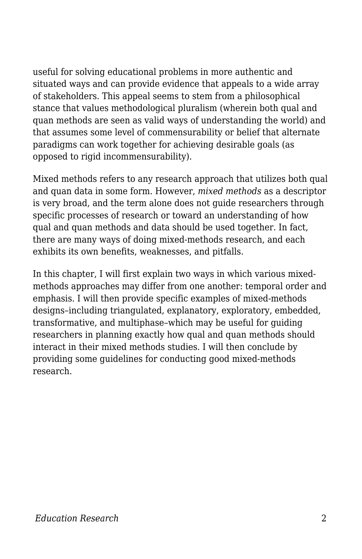useful for solving educational problems in more authentic and situated ways and can provide evidence that appeals to a wide array of stakeholders. This appeal seems to stem from a philosophical stance that values methodological pluralism (wherein both qual and quan methods are seen as valid ways of understanding the world) and that assumes some level of commensurability or belief that alternate paradigms can work together for achieving desirable goals (as opposed to rigid incommensurability).

Mixed methods refers to any research approach that utilizes both qual and quan data in some form. However, *mixed methods* as a descriptor is very broad, and the term alone does not guide researchers through specific processes of research or toward an understanding of how qual and quan methods and data should be used together. In fact, there are many ways of doing mixed-methods research, and each exhibits its own benefits, weaknesses, and pitfalls.

In this chapter, I will first explain two ways in which various mixedmethods approaches may differ from one another: temporal order and emphasis. I will then provide specific examples of mixed-methods designs–including triangulated, explanatory, exploratory, embedded, transformative, and multiphase–which may be useful for guiding researchers in planning exactly how qual and quan methods should interact in their mixed methods studies. I will then conclude by providing some guidelines for conducting good mixed-methods research.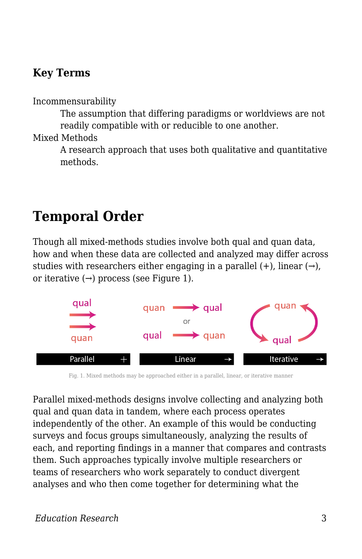#### **Key Terms**

Incommensurability

The assumption that differing paradigms or worldviews are not readily compatible with or reducible to one another.

Mixed Methods

A research approach that uses both qualitative and quantitative methods.

## **Temporal Order**

Though all mixed-methods studies involve both qual and quan data, how and when these data are collected and analyzed may differ across studies with researchers either engaging in a parallel  $(+)$ , linear  $(\rightarrow)$ , or iterative  $(\rightarrow)$  process (see Figure 1).



Fig. 1. Mixed methods may be approached either in a parallel, linear, or iterative manner

Parallel mixed-methods designs involve collecting and analyzing both qual and quan data in tandem, where each process operates independently of the other. An example of this would be conducting surveys and focus groups simultaneously, analyzing the results of each, and reporting findings in a manner that compares and contrasts them. Such approaches typically involve multiple researchers or teams of researchers who work separately to conduct divergent analyses and who then come together for determining what the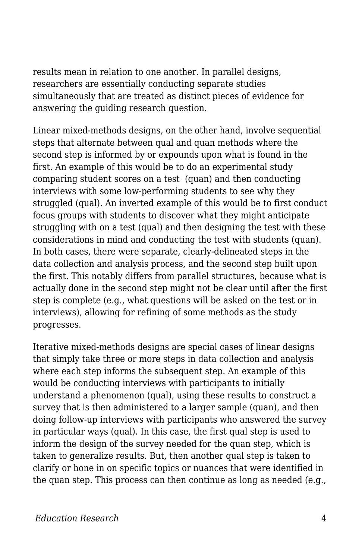results mean in relation to one another. In parallel designs, researchers are essentially conducting separate studies simultaneously that are treated as distinct pieces of evidence for answering the guiding research question.

Linear mixed-methods designs, on the other hand, involve sequential steps that alternate between qual and quan methods where the second step is informed by or expounds upon what is found in the first. An example of this would be to do an experimental study comparing student scores on a test (quan) and then conducting interviews with some low-performing students to see why they struggled (qual). An inverted example of this would be to first conduct focus groups with students to discover what they might anticipate struggling with on a test (qual) and then designing the test with these considerations in mind and conducting the test with students (quan). In both cases, there were separate, clearly-delineated steps in the data collection and analysis process, and the second step built upon the first. This notably differs from parallel structures, because what is actually done in the second step might not be clear until after the first step is complete (e.g., what questions will be asked on the test or in interviews), allowing for refining of some methods as the study progresses.

Iterative mixed-methods designs are special cases of linear designs that simply take three or more steps in data collection and analysis where each step informs the subsequent step. An example of this would be conducting interviews with participants to initially understand a phenomenon (qual), using these results to construct a survey that is then administered to a larger sample (quan), and then doing follow-up interviews with participants who answered the survey in particular ways (qual). In this case, the first qual step is used to inform the design of the survey needed for the quan step, which is taken to generalize results. But, then another qual step is taken to clarify or hone in on specific topics or nuances that were identified in the quan step. This process can then continue as long as needed (e.g.,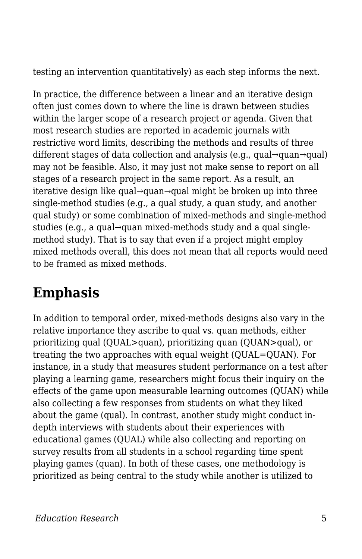testing an intervention quantitatively) as each step informs the next.

In practice, the difference between a linear and an iterative design often just comes down to where the line is drawn between studies within the larger scope of a research project or agenda. Given that most research studies are reported in academic journals with restrictive word limits, describing the methods and results of three different stages of data collection and analysis (e.g., qual→quan→qual) may not be feasible. Also, it may just not make sense to report on all stages of a research project in the same report. As a result, an iterative design like qual→quan→qual might be broken up into three single-method studies (e.g., a qual study, a quan study, and another qual study) or some combination of mixed-methods and single-method studies (e.g., a qual→quan mixed-methods study and a qual singlemethod study). That is to say that even if a project might employ mixed methods overall, this does not mean that all reports would need to be framed as mixed methods.

## **Emphasis**

In addition to temporal order, mixed-methods designs also vary in the relative importance they ascribe to qual vs. quan methods, either prioritizing qual (QUAL>quan), prioritizing quan (QUAN>qual), or treating the two approaches with equal weight (QUAL=QUAN). For instance, in a study that measures student performance on a test after playing a learning game, researchers might focus their inquiry on the effects of the game upon measurable learning outcomes (QUAN) while also collecting a few responses from students on what they liked about the game (qual). In contrast, another study might conduct indepth interviews with students about their experiences with educational games (QUAL) while also collecting and reporting on survey results from all students in a school regarding time spent playing games (quan). In both of these cases, one methodology is prioritized as being central to the study while another is utilized to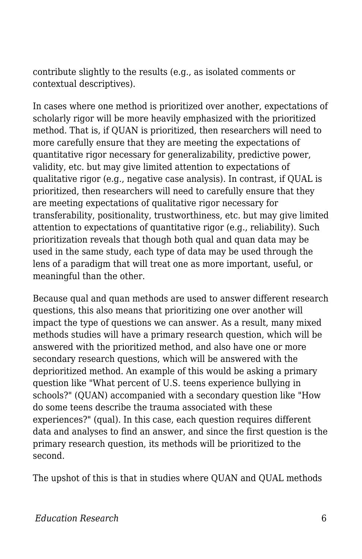contribute slightly to the results (e.g., as isolated comments or contextual descriptives).

In cases where one method is prioritized over another, expectations of scholarly rigor will be more heavily emphasized with the prioritized method. That is, if QUAN is prioritized, then researchers will need to more carefully ensure that they are meeting the expectations of quantitative rigor necessary for generalizability, predictive power, validity, etc. but may give limited attention to expectations of qualitative rigor (e.g., negative case analysis). In contrast, if QUAL is prioritized, then researchers will need to carefully ensure that they are meeting expectations of qualitative rigor necessary for transferability, positionality, trustworthiness, etc. but may give limited attention to expectations of quantitative rigor (e.g., reliability). Such prioritization reveals that though both qual and quan data may be used in the same study, each type of data may be used through the lens of a paradigm that will treat one as more important, useful, or meaningful than the other.

Because qual and quan methods are used to answer different research questions, this also means that prioritizing one over another will impact the type of questions we can answer. As a result, many mixed methods studies will have a primary research question, which will be answered with the prioritized method, and also have one or more secondary research questions, which will be answered with the deprioritized method. An example of this would be asking a primary question like "What percent of U.S. teens experience bullying in schools?" (QUAN) accompanied with a secondary question like "How do some teens describe the trauma associated with these experiences?" (qual). In this case, each question requires different data and analyses to find an answer, and since the first question is the primary research question, its methods will be prioritized to the second.

The upshot of this is that in studies where QUAN and QUAL methods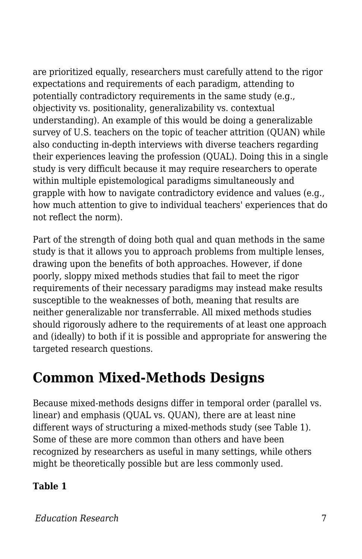are prioritized equally, researchers must carefully attend to the rigor expectations and requirements of each paradigm, attending to potentially contradictory requirements in the same study (e.g., objectivity vs. positionality, generalizability vs. contextual understanding). An example of this would be doing a generalizable survey of U.S. teachers on the topic of teacher attrition (QUAN) while also conducting in-depth interviews with diverse teachers regarding their experiences leaving the profession (QUAL). Doing this in a single study is very difficult because it may require researchers to operate within multiple epistemological paradigms simultaneously and grapple with how to navigate contradictory evidence and values (e.g., how much attention to give to individual teachers' experiences that do not reflect the norm).

Part of the strength of doing both qual and quan methods in the same study is that it allows you to approach problems from multiple lenses, drawing upon the benefits of both approaches. However, if done poorly, sloppy mixed methods studies that fail to meet the rigor requirements of their necessary paradigms may instead make results susceptible to the weaknesses of both, meaning that results are neither generalizable nor transferrable. All mixed methods studies should rigorously adhere to the requirements of at least one approach and (ideally) to both if it is possible and appropriate for answering the targeted research questions.

## **Common Mixed-Methods Designs**

Because mixed-methods designs differ in temporal order (parallel vs. linear) and emphasis (QUAL vs. QUAN), there are at least nine different ways of structuring a mixed-methods study (see Table 1). Some of these are more common than others and have been recognized by researchers as useful in many settings, while others might be theoretically possible but are less commonly used.

#### **Table 1**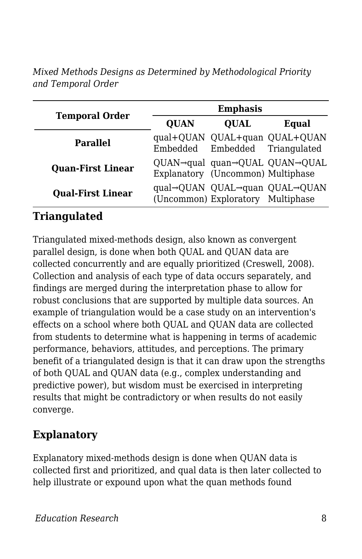*Mixed Methods Designs as Determined by Methodological Priority and Temporal Order*

| <b>Temporal Order</b>    | <b>Emphasis</b> |                                   |                               |
|--------------------------|-----------------|-----------------------------------|-------------------------------|
|                          | <b>QUAN</b>     | <b>OUAL</b>                       | Equal                         |
| <b>Parallel</b>          |                 | Embedded Embedded Triangulated    | qual+QUAN QUAL+quan QUAL+QUAN |
| <b>Quan-First Linear</b> |                 | Explanatory (Uncommon) Multiphase | QUAN→qual quan→QUAL QUAN→QUAL |
| <b>Qual-First Linear</b> |                 | (Uncommon) Exploratory Multiphase | qual→QUAN QUAL→quan QUAL→QUAN |

#### **Triangulated**

Triangulated mixed-methods design, also known as convergent parallel design, is done when both QUAL and QUAN data are collected concurrently and are equally prioritized (Creswell, 2008). Collection and analysis of each type of data occurs separately, and findings are merged during the interpretation phase to allow for robust conclusions that are supported by multiple data sources. An example of triangulation would be a case study on an intervention's effects on a school where both QUAL and QUAN data are collected from students to determine what is happening in terms of academic performance, behaviors, attitudes, and perceptions. The primary benefit of a triangulated design is that it can draw upon the strengths of both QUAL and QUAN data (e.g., complex understanding and predictive power), but wisdom must be exercised in interpreting results that might be contradictory or when results do not easily converge.

#### **Explanatory**

Explanatory mixed-methods design is done when QUAN data is collected first and prioritized, and qual data is then later collected to help illustrate or expound upon what the quan methods found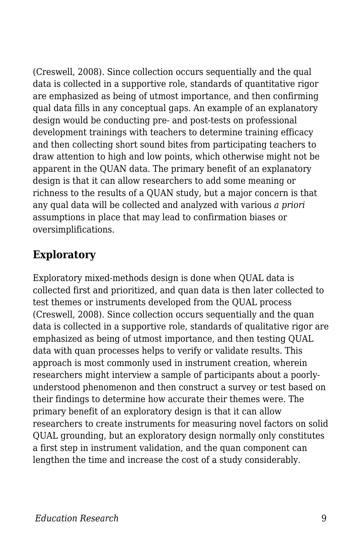(Creswell, 2008). Since collection occurs sequentially and the qual data is collected in a supportive role, standards of quantitative rigor are emphasized as being of utmost importance, and then confirming qual data fills in any conceptual gaps. An example of an explanatory design would be conducting pre- and post-tests on professional development trainings with teachers to determine training efficacy and then collecting short sound bites from participating teachers to draw attention to high and low points, which otherwise might not be apparent in the QUAN data. The primary benefit of an explanatory design is that it can allow researchers to add some meaning or richness to the results of a QUAN study, but a major concern is that any qual data will be collected and analyzed with various *a priori* assumptions in place that may lead to confirmation biases or oversimplifications.

#### **Exploratory**

Exploratory mixed-methods design is done when QUAL data is collected first and prioritized, and quan data is then later collected to test themes or instruments developed from the QUAL process (Creswell, 2008). Since collection occurs sequentially and the quan data is collected in a supportive role, standards of qualitative rigor are emphasized as being of utmost importance, and then testing QUAL data with quan processes helps to verify or validate results. This approach is most commonly used in instrument creation, wherein researchers might interview a sample of participants about a poorlyunderstood phenomenon and then construct a survey or test based on their findings to determine how accurate their themes were. The primary benefit of an exploratory design is that it can allow researchers to create instruments for measuring novel factors on solid QUAL grounding, but an exploratory design normally only constitutes a first step in instrument validation, and the quan component can lengthen the time and increase the cost of a study considerably.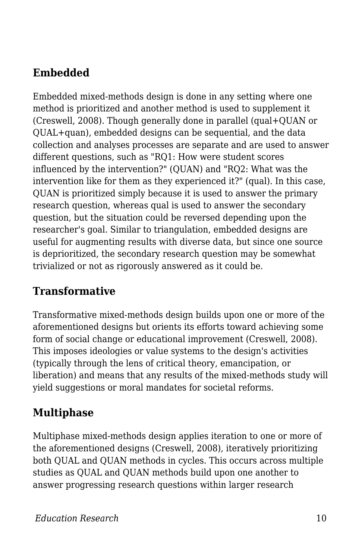#### **Embedded**

Embedded mixed-methods design is done in any setting where one method is prioritized and another method is used to supplement it (Creswell, 2008). Though generally done in parallel (qual+QUAN or QUAL+quan), embedded designs can be sequential, and the data collection and analyses processes are separate and are used to answer different questions, such as "RQ1: How were student scores influenced by the intervention?" (QUAN) and "RQ2: What was the intervention like for them as they experienced it?" (qual). In this case, QUAN is prioritized simply because it is used to answer the primary research question, whereas qual is used to answer the secondary question, but the situation could be reversed depending upon the researcher's goal. Similar to triangulation, embedded designs are useful for augmenting results with diverse data, but since one source is deprioritized, the secondary research question may be somewhat trivialized or not as rigorously answered as it could be.

#### **Transformative**

Transformative mixed-methods design builds upon one or more of the aforementioned designs but orients its efforts toward achieving some form of social change or educational improvement (Creswell, 2008). This imposes ideologies or value systems to the design's activities (typically through the lens of critical theory, emancipation, or liberation) and means that any results of the mixed-methods study will yield suggestions or moral mandates for societal reforms.

#### **Multiphase**

Multiphase mixed-methods design applies iteration to one or more of the aforementioned designs (Creswell, 2008), iteratively prioritizing both QUAL and QUAN methods in cycles. This occurs across multiple studies as QUAL and QUAN methods build upon one another to answer progressing research questions within larger research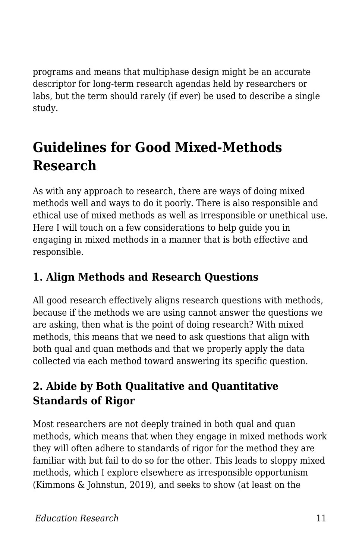programs and means that multiphase design might be an accurate descriptor for long-term research agendas held by researchers or labs, but the term should rarely (if ever) be used to describe a single study.

# **Guidelines for Good Mixed-Methods Research**

As with any approach to research, there are ways of doing mixed methods well and ways to do it poorly. There is also responsible and ethical use of mixed methods as well as irresponsible or unethical use. Here I will touch on a few considerations to help guide you in engaging in mixed methods in a manner that is both effective and responsible.

### **1. Align Methods and Research Questions**

All good research effectively aligns research questions with methods, because if the methods we are using cannot answer the questions we are asking, then what is the point of doing research? With mixed methods, this means that we need to ask questions that align with both qual and quan methods and that we properly apply the data collected via each method toward answering its specific question.

### **2. Abide by Both Qualitative and Quantitative Standards of Rigor**

Most researchers are not deeply trained in both qual and quan methods, which means that when they engage in mixed methods work they will often adhere to standards of rigor for the method they are familiar with but fail to do so for the other. This leads to sloppy mixed methods, which I explore elsewhere as irresponsible opportunism (Kimmons & Johnstun, 2019), and seeks to show (at least on the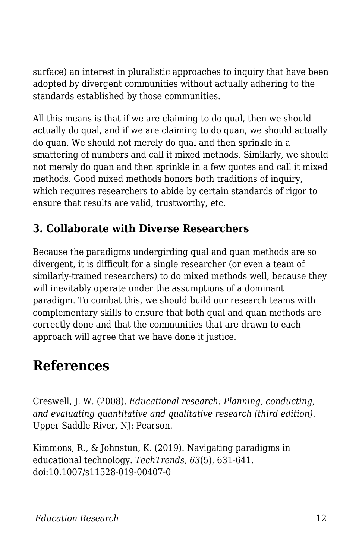surface) an interest in pluralistic approaches to inquiry that have been adopted by divergent communities without actually adhering to the standards established by those communities.

All this means is that if we are claiming to do qual, then we should actually do qual, and if we are claiming to do quan, we should actually do quan. We should not merely do qual and then sprinkle in a smattering of numbers and call it mixed methods. Similarly, we should not merely do quan and then sprinkle in a few quotes and call it mixed methods. Good mixed methods honors both traditions of inquiry, which requires researchers to abide by certain standards of rigor to ensure that results are valid, trustworthy, etc.

### **3. Collaborate with Diverse Researchers**

Because the paradigms undergirding qual and quan methods are so divergent, it is difficult for a single researcher (or even a team of similarly-trained researchers) to do mixed methods well, because they will inevitably operate under the assumptions of a dominant paradigm. To combat this, we should build our research teams with complementary skills to ensure that both qual and quan methods are correctly done and that the communities that are drawn to each approach will agree that we have done it justice.

### **References**

Creswell, J. W. (2008). *Educational research: Planning, conducting, and evaluating quantitative and qualitative research (third edition)*. Upper Saddle River, NJ: Pearson.

Kimmons, R., & Johnstun, K. (2019). Navigating paradigms in educational technology. *TechTrends, 63*(5), 631-641. doi:10.1007/s11528-019-00407-0